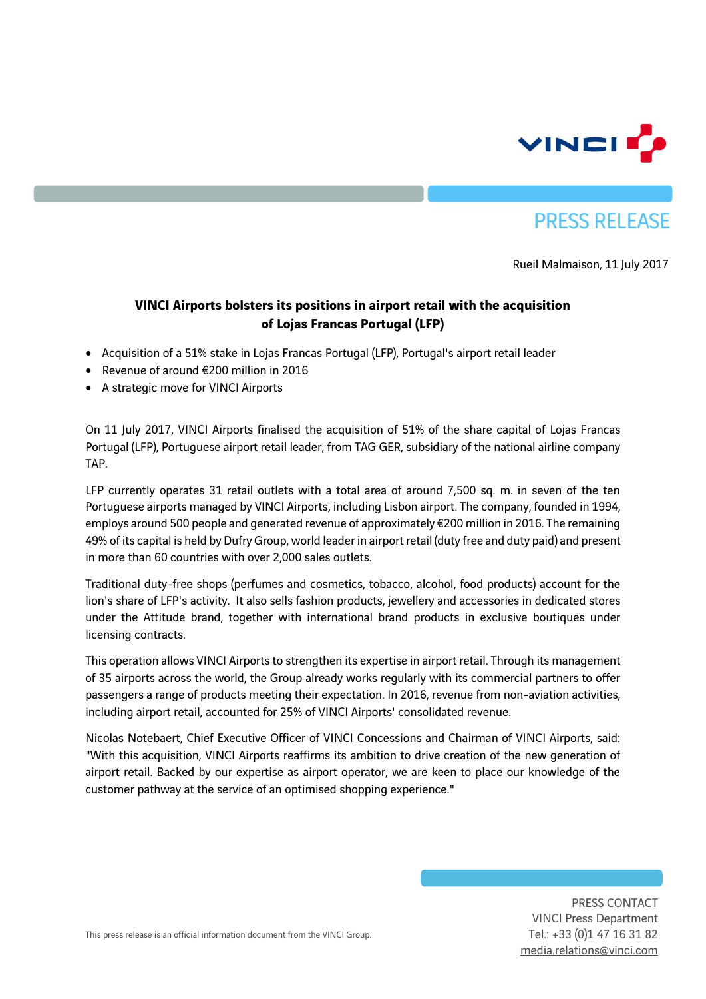

## **PRESS RELEASE**

Rueil Malmaison, 11 July 2017

## **VINCI Airports bolsters its positions in airport retail with the acquisition of Lojas Francas Portugal (LFP)**

- Acquisition of a 51% stake in Lojas Francas Portugal (LFP), Portugal's airport retail leader
- Revenue of around €200 million in 2016
- A strategic move for VINCI Airports

On 11 July 2017, VINCI Airports finalised the acquisition of 51% of the share capital of Lojas Francas Portugal (LFP), Portuguese airport retail leader, from TAG GER, subsidiary of the national airline company TAP.

LFP currently operates 31 retail outlets with a total area of around 7,500 sq. m. in seven of the ten Portuguese airports managed by VINCI Airports, including Lisbon airport. The company, founded in 1994, employs around 500 people and generated revenue of approximately €200 million in 2016. The remaining 49% of its capital is held by Dufry Group, world leader in airport retail (duty free and duty paid) and present in more than 60 countries with over 2,000 sales outlets.

Traditional duty-free shops (perfumes and cosmetics, tobacco, alcohol, food products) account for the lion's share of LFP's activity. It also sells fashion products, jewellery and accessories in dedicated stores under the Attitude brand, together with international brand products in exclusive boutiques under licensing contracts.

This operation allows VINCI Airports to strengthen its expertise in airport retail. Through its management of 35 airports across the world, the Group already works regularly with its commercial partners to offer passengers a range of products meeting their expectation. In 2016, revenue from non-aviation activities, including airport retail, accounted for 25% of VINCI Airports' consolidated revenue.

Nicolas Notebaert, Chief Executive Officer of VINCI Concessions and Chairman of VINCI Airports, said: "With this acquisition, VINCI Airports reaffirms its ambition to drive creation of the new generation of airport retail. Backed by our expertise as airport operator, we are keen to place our knowledge of the customer pathway at the service of an optimised shopping experience."

> PRESS CONTACT VINCI Press Department Tel.: +33 (0)1 47 16 31 82 [media.relations@vinci.com](mailto:maxence.naouri@vinci.com)